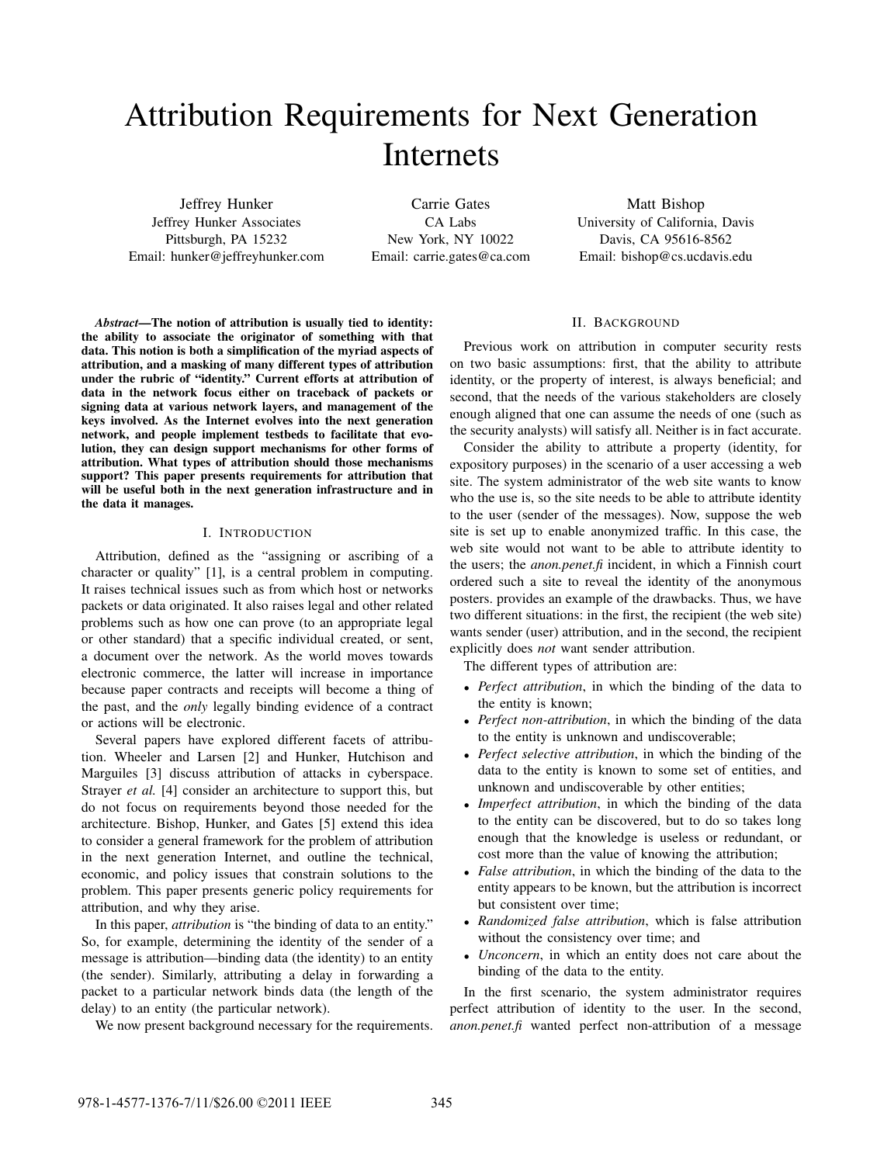# Attribution Requirements for Next Generation Internets

Jeffrey Hunker Jeffrey Hunker Associates Pittsburgh, PA 15232 Email: hunker@jeffreyhunker.com

Carrie Gates CA Labs New York, NY 10022 Email: carrie.gates@ca.com

Matt Bishop University of California, Davis Davis, CA 95616-8562 Email: bishop@cs.ucdavis.edu

*Abstract*—The notion of attribution is usually tied to identity: the ability to associate the originator of something with that data. This notion is both a simplification of the myriad aspects of attribution, and a masking of many different types of attribution under the rubric of "identity." Current efforts at attribution of data in the network focus either on traceback of packets or signing data at various network layers, and management of the keys involved. As the Internet evolves into the next generation network, and people implement testbeds to facilitate that evolution, they can design support mechanisms for other forms of attribution. What types of attribution should those mechanisms support? This paper presents requirements for attribution that will be useful both in the next generation infrastructure and in the data it manages.

### I. INTRODUCTION

Attribution, defined as the "assigning or ascribing of a character or quality" [1], is a central problem in computing. It raises technical issues such as from which host or networks packets or data originated. It also raises legal and other related problems such as how one can prove (to an appropriate legal or other standard) that a specific individual created, or sent, a document over the network. As the world moves towards electronic commerce, the latter will increase in importance because paper contracts and receipts will become a thing of the past, and the *only* legally binding evidence of a contract or actions will be electronic.

Several papers have explored different facets of attribution. Wheeler and Larsen [2] and Hunker, Hutchison and Marguiles [3] discuss attribution of attacks in cyberspace. Strayer *et al.* [4] consider an architecture to support this, but do not focus on requirements beyond those needed for the architecture. Bishop, Hunker, and Gates [5] extend this idea to consider a general framework for the problem of attribution in the next generation Internet, and outline the technical, economic, and policy issues that constrain solutions to the problem. This paper presents generic policy requirements for attribution, and why they arise.

In this paper, *attribution* is "the binding of data to an entity." So, for example, determining the identity of the sender of a message is attribution—binding data (the identity) to an entity (the sender). Similarly, attributing a delay in forwarding a packet to a particular network binds data (the length of the delay) to an entity (the particular network).

We now present background necessary for the requirements.

# II. BACKGROUND

Previous work on attribution in computer security rests on two basic assumptions: first, that the ability to attribute identity, or the property of interest, is always beneficial; and second, that the needs of the various stakeholders are closely enough aligned that one can assume the needs of one (such as the security analysts) will satisfy all. Neither is in fact accurate.

Consider the ability to attribute a property (identity, for expository purposes) in the scenario of a user accessing a web site. The system administrator of the web site wants to know who the use is, so the site needs to be able to attribute identity to the user (sender of the messages). Now, suppose the web site is set up to enable anonymized traffic. In this case, the web site would not want to be able to attribute identity to the users; the *anon.penet.fi* incident, in which a Finnish court ordered such a site to reveal the identity of the anonymous posters. provides an example of the drawbacks. Thus, we have two different situations: in the first, the recipient (the web site) wants sender (user) attribution, and in the second, the recipient explicitly does *not* want sender attribution.

The different types of attribution are:

- *Perfect attribution*, in which the binding of the data to the entity is known;
- *Perfect non-attribution*, in which the binding of the data to the entity is unknown and undiscoverable;
- *Perfect selective attribution*, in which the binding of the data to the entity is known to some set of entities, and unknown and undiscoverable by other entities;
- *Imperfect attribution*, in which the binding of the data to the entity can be discovered, but to do so takes long enough that the knowledge is useless or redundant, or cost more than the value of knowing the attribution;
- *False attribution*, in which the binding of the data to the entity appears to be known, but the attribution is incorrect but consistent over time;
- *Randomized false attribution*, which is false attribution without the consistency over time; and
- *Unconcern*, in which an entity does not care about the binding of the data to the entity.

In the first scenario, the system administrator requires perfect attribution of identity to the user. In the second, *anon.penet.fi* wanted perfect non-attribution of a message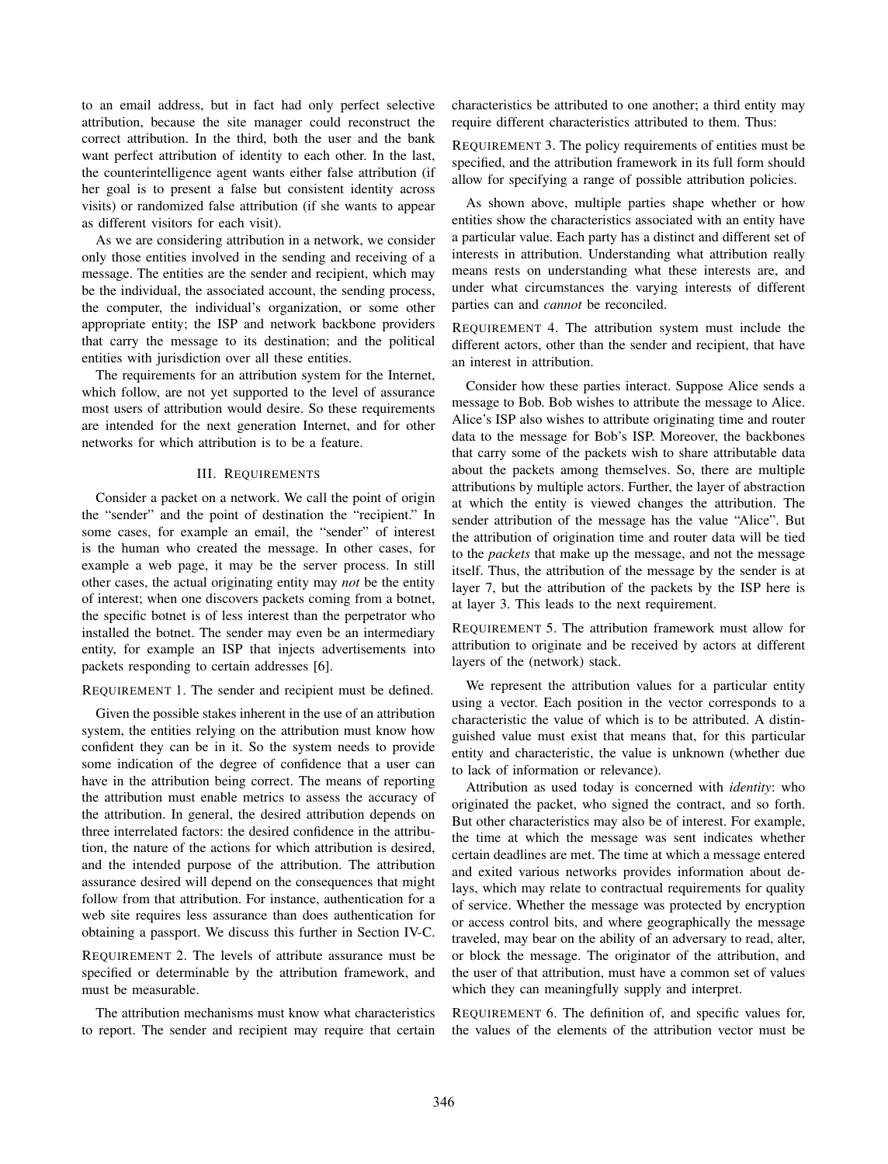to an email address, but in fact had only perfect selective attribution, because the site manager could reconstruct the correct attribution. In the third, both the user and the bank want perfect attribution of identity to each other. In the last, the counterintelligence agent wants either false attribution (if her goal is to present a false but consistent identity across visits) or randomized false attribution (if she wants to appear as different visitors for each visit).

As we are considering attribution in a network, we consider only those entities involved in the sending and receiving of a message. The entities are the sender and recipient, which may be the individual, the associated account, the sending process, the computer, the individual's organization, or some other appropriate entity; the ISP and network backbone providers that carry the message to its destination; and the political entities with jurisdiction over all these entities.

The requirements for an attribution system for the Internet, which follow, are not yet supported to the level of assurance most users of attribution would desire. So these requirements are intended for the next generation Internet, and for other networks for which attribution is to be a feature.

# III. REQUIREMENTS

Consider a packet on a network. We call the point of origin the "sender" and the point of destination the "recipient." In some cases, for example an email, the "sender" of interest is the human who created the message. In other cases, for example a web page, it may be the server process. In still other cases, the actual originating entity may *not* be the entity of interest; when one discovers packets coming from a botnet, the specific botnet is of less interest than the perpetrator who installed the botnet. The sender may even be an intermediary entity, for example an ISP that injects advertisements into packets responding to certain addresses [6].

# REQUIREMENT 1. The sender and recipient must be defined.

Given the possible stakes inherent in the use of an attribution system, the entities relying on the attribution must know how confident they can be in it. So the system needs to provide some indication of the degree of confidence that a user can have in the attribution being correct. The means of reporting the attribution must enable metrics to assess the accuracy of the attribution. In general, the desired attribution depends on three interrelated factors: the desired confidence in the attribution, the nature of the actions for which attribution is desired, and the intended purpose of the attribution. The attribution assurance desired will depend on the consequences that might follow from that attribution. For instance, authentication for a web site requires less assurance than does authentication for obtaining a passport. We discuss this further in Section IV-C.

REQUIREMENT 2. The levels of attribute assurance must be specified or determinable by the attribution framework, and must be measurable.

The attribution mechanisms must know what characteristics to report. The sender and recipient may require that certain

characteristics be attributed to one another; a third entity may require different characteristics attributed to them. Thus:

REQUIREMENT 3. The policy requirements of entities must be specified, and the attribution framework in its full form should allow for specifying a range of possible attribution policies.

As shown above, multiple parties shape whether or how entities show the characteristics associated with an entity have a particular value. Each party has a distinct and different set of interests in attribution. Understanding what attribution really means rests on understanding what these interests are, and under what circumstances the varying interests of different parties can and *cannot* be reconciled.

REQUIREMENT 4. The attribution system must include the different actors, other than the sender and recipient, that have an interest in attribution.

Consider how these parties interact. Suppose Alice sends a message to Bob. Bob wishes to attribute the message to Alice. Alice's ISP also wishes to attribute originating time and router data to the message for Bob's ISP. Moreover, the backbones that carry some of the packets wish to share attributable data about the packets among themselves. So, there are multiple attributions by multiple actors. Further, the layer of abstraction at which the entity is viewed changes the attribution. The sender attribution of the message has the value "Alice". But the attribution of origination time and router data will be tied to the *packets* that make up the message, and not the message itself. Thus, the attribution of the message by the sender is at layer 7, but the attribution of the packets by the ISP here is at layer 3. This leads to the next requirement.

REQUIREMENT 5. The attribution framework must allow for attribution to originate and be received by actors at different layers of the (network) stack.

We represent the attribution values for a particular entity using a vector. Each position in the vector corresponds to a characteristic the value of which is to be attributed. A distinguished value must exist that means that, for this particular entity and characteristic, the value is unknown (whether due to lack of information or relevance).

Attribution as used today is concerned with *identity*: who originated the packet, who signed the contract, and so forth. But other characteristics may also be of interest. For example, the time at which the message was sent indicates whether certain deadlines are met. The time at which a message entered and exited various networks provides information about delays, which may relate to contractual requirements for quality of service. Whether the message was protected by encryption or access control bits, and where geographically the message traveled, may bear on the ability of an adversary to read, alter, or block the message. The originator of the attribution, and the user of that attribution, must have a common set of values which they can meaningfully supply and interpret.

REQUIREMENT 6. The definition of, and specific values for, the values of the elements of the attribution vector must be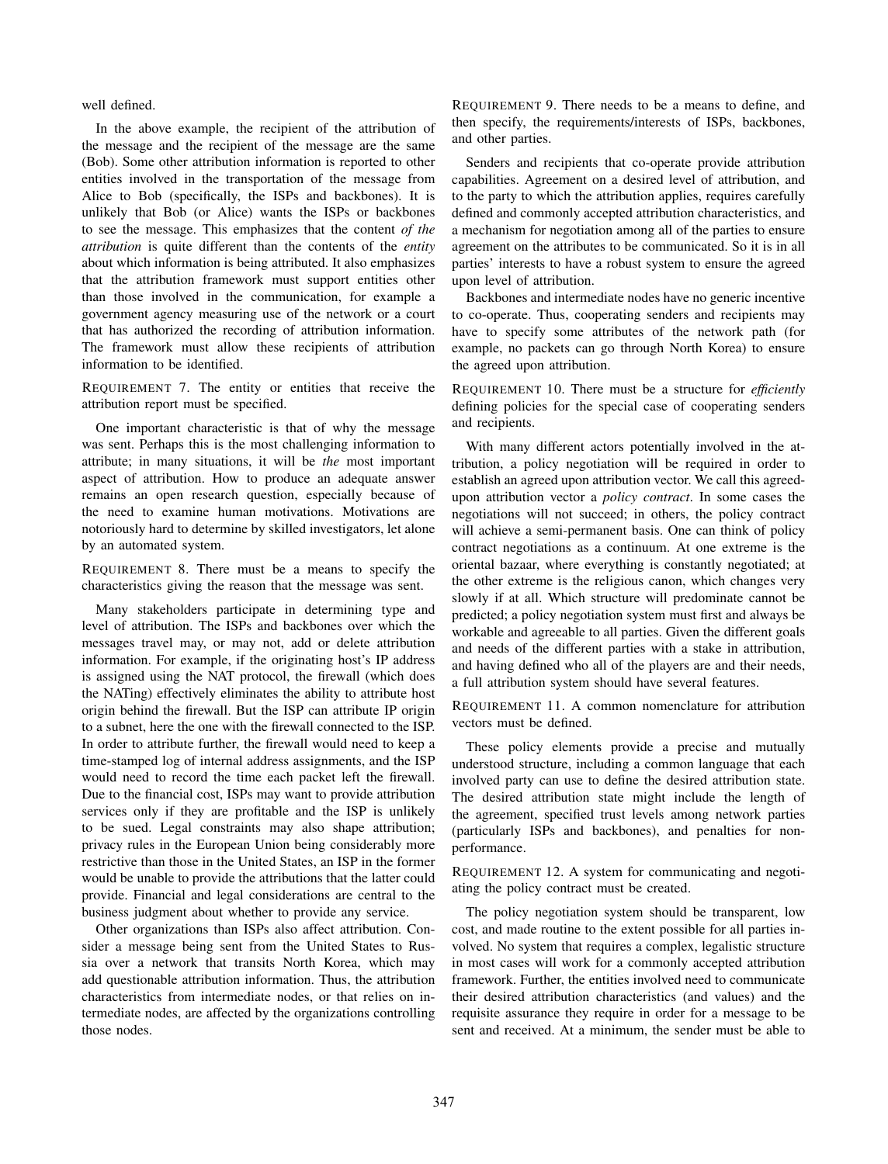well defined.

In the above example, the recipient of the attribution of the message and the recipient of the message are the same (Bob). Some other attribution information is reported to other entities involved in the transportation of the message from Alice to Bob (specifically, the ISPs and backbones). It is unlikely that Bob (or Alice) wants the ISPs or backbones to see the message. This emphasizes that the content *of the attribution* is quite different than the contents of the *entity* about which information is being attributed. It also emphasizes that the attribution framework must support entities other than those involved in the communication, for example a government agency measuring use of the network or a court that has authorized the recording of attribution information. The framework must allow these recipients of attribution information to be identified.

REQUIREMENT 7. The entity or entities that receive the attribution report must be specified.

One important characteristic is that of why the message was sent. Perhaps this is the most challenging information to attribute; in many situations, it will be *the* most important aspect of attribution. How to produce an adequate answer remains an open research question, especially because of the need to examine human motivations. Motivations are notoriously hard to determine by skilled investigators, let alone by an automated system.

REQUIREMENT 8. There must be a means to specify the characteristics giving the reason that the message was sent.

Many stakeholders participate in determining type and level of attribution. The ISPs and backbones over which the messages travel may, or may not, add or delete attribution information. For example, if the originating host's IP address is assigned using the NAT protocol, the firewall (which does the NATing) effectively eliminates the ability to attribute host origin behind the firewall. But the ISP can attribute IP origin to a subnet, here the one with the firewall connected to the ISP. In order to attribute further, the firewall would need to keep a time-stamped log of internal address assignments, and the ISP would need to record the time each packet left the firewall. Due to the financial cost, ISPs may want to provide attribution services only if they are profitable and the ISP is unlikely to be sued. Legal constraints may also shape attribution; privacy rules in the European Union being considerably more restrictive than those in the United States, an ISP in the former would be unable to provide the attributions that the latter could provide. Financial and legal considerations are central to the business judgment about whether to provide any service.

Other organizations than ISPs also affect attribution. Consider a message being sent from the United States to Russia over a network that transits North Korea, which may add questionable attribution information. Thus, the attribution characteristics from intermediate nodes, or that relies on intermediate nodes, are affected by the organizations controlling those nodes.

REQUIREMENT 9. There needs to be a means to define, and then specify, the requirements/interests of ISPs, backbones, and other parties.

Senders and recipients that co-operate provide attribution capabilities. Agreement on a desired level of attribution, and to the party to which the attribution applies, requires carefully defined and commonly accepted attribution characteristics, and a mechanism for negotiation among all of the parties to ensure agreement on the attributes to be communicated. So it is in all parties' interests to have a robust system to ensure the agreed upon level of attribution.

Backbones and intermediate nodes have no generic incentive to co-operate. Thus, cooperating senders and recipients may have to specify some attributes of the network path (for example, no packets can go through North Korea) to ensure the agreed upon attribution.

REQUIREMENT 10. There must be a structure for *efficiently* defining policies for the special case of cooperating senders and recipients.

With many different actors potentially involved in the attribution, a policy negotiation will be required in order to establish an agreed upon attribution vector. We call this agreedupon attribution vector a *policy contract*. In some cases the negotiations will not succeed; in others, the policy contract will achieve a semi-permanent basis. One can think of policy contract negotiations as a continuum. At one extreme is the oriental bazaar, where everything is constantly negotiated; at the other extreme is the religious canon, which changes very slowly if at all. Which structure will predominate cannot be predicted; a policy negotiation system must first and always be workable and agreeable to all parties. Given the different goals and needs of the different parties with a stake in attribution, and having defined who all of the players are and their needs, a full attribution system should have several features.

REQUIREMENT 11. A common nomenclature for attribution vectors must be defined.

These policy elements provide a precise and mutually understood structure, including a common language that each involved party can use to define the desired attribution state. The desired attribution state might include the length of the agreement, specified trust levels among network parties (particularly ISPs and backbones), and penalties for nonperformance.

REQUIREMENT 12. A system for communicating and negotiating the policy contract must be created.

The policy negotiation system should be transparent, low cost, and made routine to the extent possible for all parties involved. No system that requires a complex, legalistic structure in most cases will work for a commonly accepted attribution framework. Further, the entities involved need to communicate their desired attribution characteristics (and values) and the requisite assurance they require in order for a message to be sent and received. At a minimum, the sender must be able to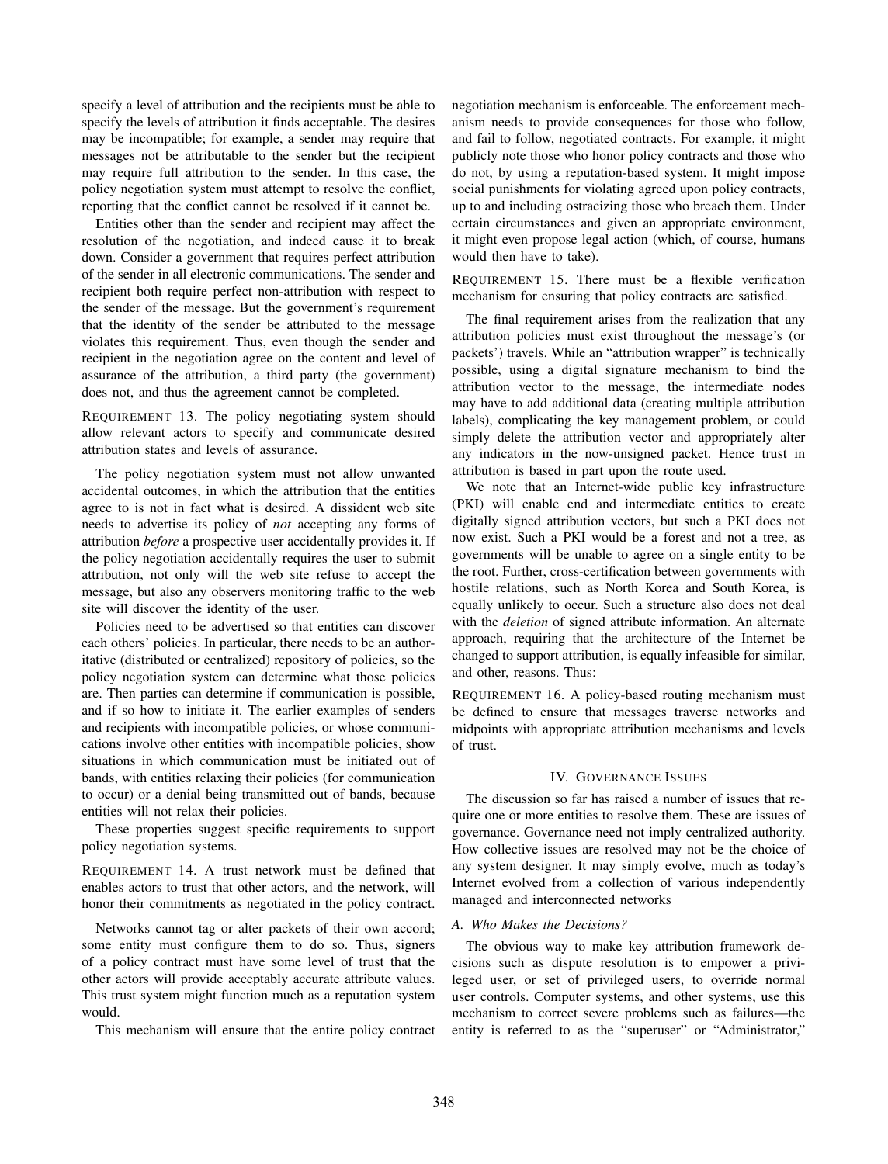specify a level of attribution and the recipients must be able to specify the levels of attribution it finds acceptable. The desires may be incompatible; for example, a sender may require that messages not be attributable to the sender but the recipient may require full attribution to the sender. In this case, the policy negotiation system must attempt to resolve the conflict, reporting that the conflict cannot be resolved if it cannot be.

Entities other than the sender and recipient may affect the resolution of the negotiation, and indeed cause it to break down. Consider a government that requires perfect attribution of the sender in all electronic communications. The sender and recipient both require perfect non-attribution with respect to the sender of the message. But the government's requirement that the identity of the sender be attributed to the message violates this requirement. Thus, even though the sender and recipient in the negotiation agree on the content and level of assurance of the attribution, a third party (the government) does not, and thus the agreement cannot be completed.

REQUIREMENT 13. The policy negotiating system should allow relevant actors to specify and communicate desired attribution states and levels of assurance.

The policy negotiation system must not allow unwanted accidental outcomes, in which the attribution that the entities agree to is not in fact what is desired. A dissident web site needs to advertise its policy of *not* accepting any forms of attribution *before* a prospective user accidentally provides it. If the policy negotiation accidentally requires the user to submit attribution, not only will the web site refuse to accept the message, but also any observers monitoring traffic to the web site will discover the identity of the user.

Policies need to be advertised so that entities can discover each others' policies. In particular, there needs to be an authoritative (distributed or centralized) repository of policies, so the policy negotiation system can determine what those policies are. Then parties can determine if communication is possible, and if so how to initiate it. The earlier examples of senders and recipients with incompatible policies, or whose communications involve other entities with incompatible policies, show situations in which communication must be initiated out of bands, with entities relaxing their policies (for communication to occur) or a denial being transmitted out of bands, because entities will not relax their policies.

These properties suggest specific requirements to support policy negotiation systems.

REQUIREMENT 14. A trust network must be defined that enables actors to trust that other actors, and the network, will honor their commitments as negotiated in the policy contract.

Networks cannot tag or alter packets of their own accord; some entity must configure them to do so. Thus, signers of a policy contract must have some level of trust that the other actors will provide acceptably accurate attribute values. This trust system might function much as a reputation system would.

This mechanism will ensure that the entire policy contract

negotiation mechanism is enforceable. The enforcement mechanism needs to provide consequences for those who follow, and fail to follow, negotiated contracts. For example, it might publicly note those who honor policy contracts and those who do not, by using a reputation-based system. It might impose social punishments for violating agreed upon policy contracts, up to and including ostracizing those who breach them. Under certain circumstances and given an appropriate environment, it might even propose legal action (which, of course, humans would then have to take).

REQUIREMENT 15. There must be a flexible verification mechanism for ensuring that policy contracts are satisfied.

The final requirement arises from the realization that any attribution policies must exist throughout the message's (or packets') travels. While an "attribution wrapper" is technically possible, using a digital signature mechanism to bind the attribution vector to the message, the intermediate nodes may have to add additional data (creating multiple attribution labels), complicating the key management problem, or could simply delete the attribution vector and appropriately alter any indicators in the now-unsigned packet. Hence trust in attribution is based in part upon the route used.

We note that an Internet-wide public key infrastructure (PKI) will enable end and intermediate entities to create digitally signed attribution vectors, but such a PKI does not now exist. Such a PKI would be a forest and not a tree, as governments will be unable to agree on a single entity to be the root. Further, cross-certification between governments with hostile relations, such as North Korea and South Korea, is equally unlikely to occur. Such a structure also does not deal with the *deletion* of signed attribute information. An alternate approach, requiring that the architecture of the Internet be changed to support attribution, is equally infeasible for similar, and other, reasons. Thus:

REQUIREMENT 16. A policy-based routing mechanism must be defined to ensure that messages traverse networks and midpoints with appropriate attribution mechanisms and levels of trust.

#### IV. GOVERNANCE ISSUES

The discussion so far has raised a number of issues that require one or more entities to resolve them. These are issues of governance. Governance need not imply centralized authority. How collective issues are resolved may not be the choice of any system designer. It may simply evolve, much as today's Internet evolved from a collection of various independently managed and interconnected networks

### *A. Who Makes the Decisions?*

The obvious way to make key attribution framework decisions such as dispute resolution is to empower a privileged user, or set of privileged users, to override normal user controls. Computer systems, and other systems, use this mechanism to correct severe problems such as failures—the entity is referred to as the "superuser" or "Administrator,"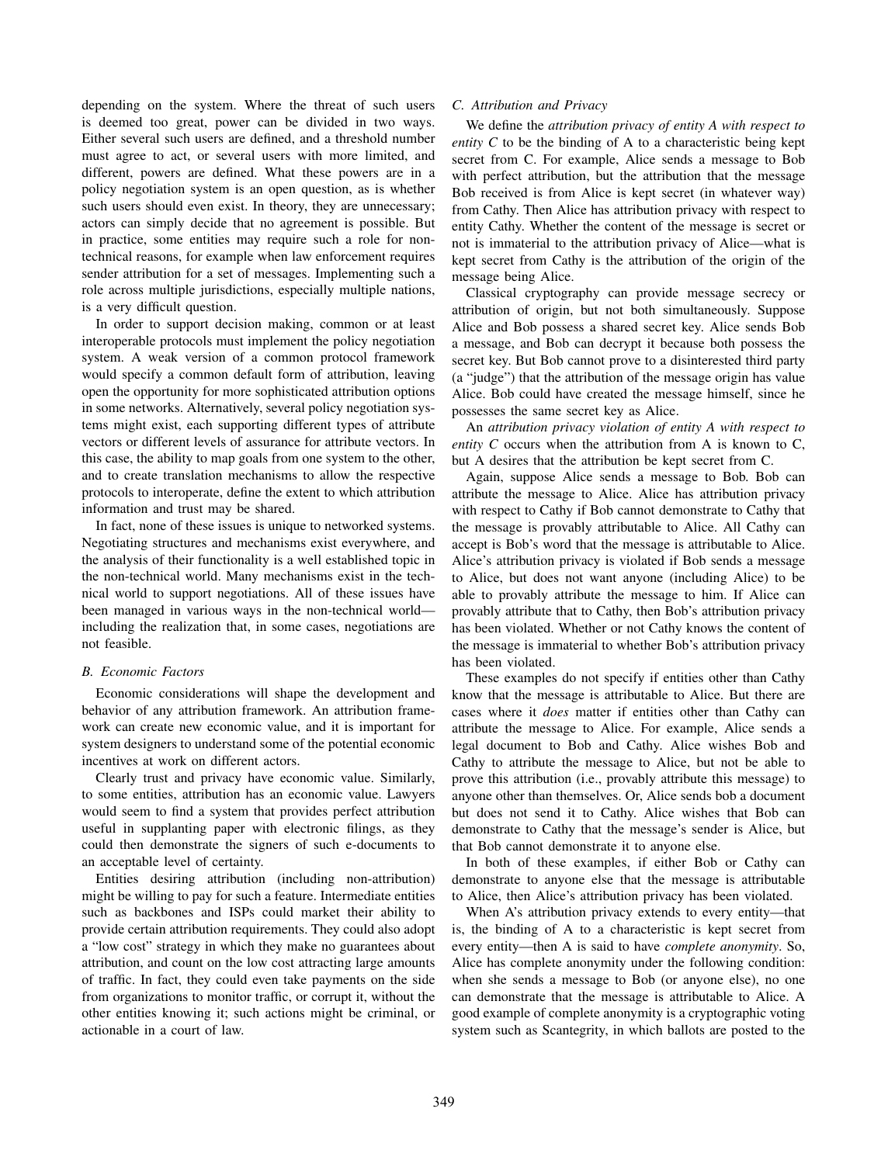depending on the system. Where the threat of such users is deemed too great, power can be divided in two ways. Either several such users are defined, and a threshold number must agree to act, or several users with more limited, and different, powers are defined. What these powers are in a policy negotiation system is an open question, as is whether such users should even exist. In theory, they are unnecessary; actors can simply decide that no agreement is possible. But in practice, some entities may require such a role for nontechnical reasons, for example when law enforcement requires sender attribution for a set of messages. Implementing such a role across multiple jurisdictions, especially multiple nations, is a very difficult question.

In order to support decision making, common or at least interoperable protocols must implement the policy negotiation system. A weak version of a common protocol framework would specify a common default form of attribution, leaving open the opportunity for more sophisticated attribution options in some networks. Alternatively, several policy negotiation systems might exist, each supporting different types of attribute vectors or different levels of assurance for attribute vectors. In this case, the ability to map goals from one system to the other, and to create translation mechanisms to allow the respective protocols to interoperate, define the extent to which attribution information and trust may be shared.

In fact, none of these issues is unique to networked systems. Negotiating structures and mechanisms exist everywhere, and the analysis of their functionality is a well established topic in the non-technical world. Many mechanisms exist in the technical world to support negotiations. All of these issues have been managed in various ways in the non-technical world including the realization that, in some cases, negotiations are not feasible.

### *B. Economic Factors*

Economic considerations will shape the development and behavior of any attribution framework. An attribution framework can create new economic value, and it is important for system designers to understand some of the potential economic incentives at work on different actors.

Clearly trust and privacy have economic value. Similarly, to some entities, attribution has an economic value. Lawyers would seem to find a system that provides perfect attribution useful in supplanting paper with electronic filings, as they could then demonstrate the signers of such e-documents to an acceptable level of certainty.

Entities desiring attribution (including non-attribution) might be willing to pay for such a feature. Intermediate entities such as backbones and ISPs could market their ability to provide certain attribution requirements. They could also adopt a "low cost" strategy in which they make no guarantees about attribution, and count on the low cost attracting large amounts of traffic. In fact, they could even take payments on the side from organizations to monitor traffic, or corrupt it, without the other entities knowing it; such actions might be criminal, or actionable in a court of law.

# *C. Attribution and Privacy*

We define the *attribution privacy of entity A with respect to entity C* to be the binding of A to a characteristic being kept secret from C. For example, Alice sends a message to Bob with perfect attribution, but the attribution that the message Bob received is from Alice is kept secret (in whatever way) from Cathy. Then Alice has attribution privacy with respect to entity Cathy. Whether the content of the message is secret or not is immaterial to the attribution privacy of Alice—what is kept secret from Cathy is the attribution of the origin of the message being Alice.

Classical cryptography can provide message secrecy or attribution of origin, but not both simultaneously. Suppose Alice and Bob possess a shared secret key. Alice sends Bob a message, and Bob can decrypt it because both possess the secret key. But Bob cannot prove to a disinterested third party (a "judge") that the attribution of the message origin has value Alice. Bob could have created the message himself, since he possesses the same secret key as Alice.

An *attribution privacy violation of entity A with respect to entity C* occurs when the attribution from A is known to C, but A desires that the attribution be kept secret from C.

Again, suppose Alice sends a message to Bob. Bob can attribute the message to Alice. Alice has attribution privacy with respect to Cathy if Bob cannot demonstrate to Cathy that the message is provably attributable to Alice. All Cathy can accept is Bob's word that the message is attributable to Alice. Alice's attribution privacy is violated if Bob sends a message to Alice, but does not want anyone (including Alice) to be able to provably attribute the message to him. If Alice can provably attribute that to Cathy, then Bob's attribution privacy has been violated. Whether or not Cathy knows the content of the message is immaterial to whether Bob's attribution privacy has been violated.

These examples do not specify if entities other than Cathy know that the message is attributable to Alice. But there are cases where it *does* matter if entities other than Cathy can attribute the message to Alice. For example, Alice sends a legal document to Bob and Cathy. Alice wishes Bob and Cathy to attribute the message to Alice, but not be able to prove this attribution (i.e., provably attribute this message) to anyone other than themselves. Or, Alice sends bob a document but does not send it to Cathy. Alice wishes that Bob can demonstrate to Cathy that the message's sender is Alice, but that Bob cannot demonstrate it to anyone else.

In both of these examples, if either Bob or Cathy can demonstrate to anyone else that the message is attributable to Alice, then Alice's attribution privacy has been violated.

When A's attribution privacy extends to every entity—that is, the binding of A to a characteristic is kept secret from every entity—then A is said to have *complete anonymity*. So, Alice has complete anonymity under the following condition: when she sends a message to Bob (or anyone else), no one can demonstrate that the message is attributable to Alice. A good example of complete anonymity is a cryptographic voting system such as Scantegrity, in which ballots are posted to the